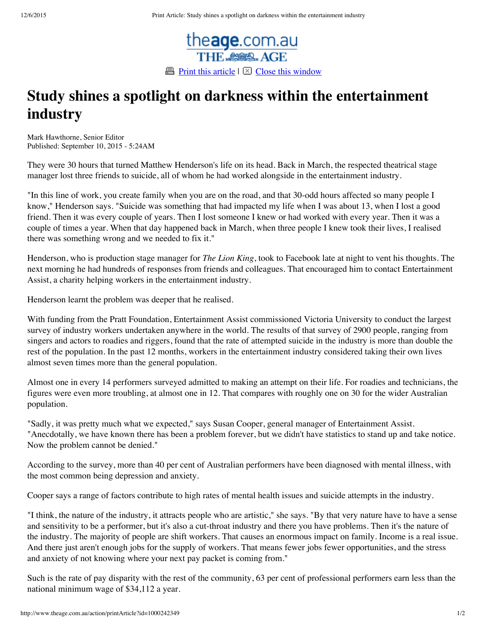

## **Study shines a spotlight on darkness within the entertainment industry**

Mark Hawthorne, Senior Editor Published: September 10, 2015 - 5:24AM

They were 30 hours that turned Matthew Henderson's life on its head. Back in March, the respected theatrical stage manager lost three friends to suicide, all of whom he had worked alongside in the entertainment industry.

"In this line of work, you create family when you are on the road, and that 30-odd hours affected so many people I know," Henderson says. "Suicide was something that had impacted my life when I was about 13, when I lost a good friend. Then it was every couple of years. Then I lost someone I knew or had worked with every year. Then it was a couple of times a year. When that day happened back in March, when three people I knew took their lives, I realised there was something wrong and we needed to fix it."

Henderson, who is production stage manager for *The Lion King*, took to Facebook late at night to vent his thoughts. The next morning he had hundreds of responses from friends and colleagues. That encouraged him to contact Entertainment Assist, a charity helping workers in the entertainment industry.

Henderson learnt the problem was deeper that he realised.

With funding from the Pratt Foundation, Entertainment Assist commissioned Victoria University to conduct the largest survey of industry workers undertaken anywhere in the world. The results of that survey of 2900 people, ranging from singers and actors to roadies and riggers, found that the rate of attempted suicide in the industry is more than double the rest of the population. In the past 12 months, workers in the entertainment industry considered taking their own lives almost seven times more than the general population.

Almost one in every 14 performers surveyed admitted to making an attempt on their life. For roadies and technicians, the figures were even more troubling, at almost one in 12. That compares with roughly one on 30 for the wider Australian population.

"Sadly, it was pretty much what we expected," says Susan Cooper, general manager of Entertainment Assist. "Anecdotally, we have known there has been a problem forever, but we didn't have statistics to stand up and take notice. Now the problem cannot be denied."

According to the survey, more than 40 per cent of Australian performers have been diagnosed with mental illness, with the most common being depression and anxiety.

Cooper says a range of factors contribute to high rates of mental health issues and suicide attempts in the industry.

"I think, the nature of the industry, it attracts people who are artistic," she says. "By that very nature have to have a sense and sensitivity to be a performer, but it's also a cut-throat industry and there you have problems. Then it's the nature of the industry. The majority of people are shift workers. That causes an enormous impact on family. Income is a real issue. And there just aren't enough jobs for the supply of workers. That means fewer jobs fewer opportunities, and the stress and anxiety of not knowing where your next pay packet is coming from."

Such is the rate of pay disparity with the rest of the community, 63 per cent of professional performers earn less than the national minimum wage of \$34,112 a year.